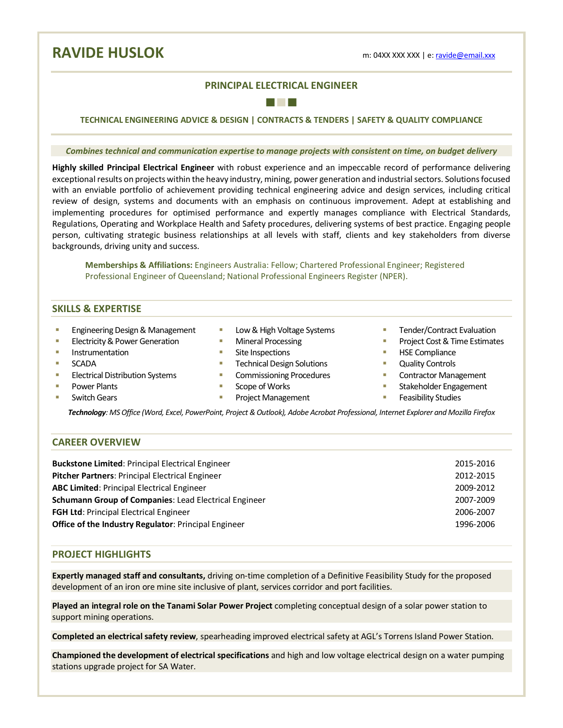**RAVIDE HUSLOK** m: 04XX XXX XXX | e: <u>ravide@email.xxx</u>

# **PRINCIPAL ELECTRICAL ENGINEER** ■ ■ ■

**TECHNICAL ENGINEERING ADVICE & DESIGN | CONTRACTS & TENDERS | SAFETY & QUALITY COMPLIANCE**

*Combines technical and communication expertise to manage projects with consistent on time, on budget delivery*

**Highly skilled Principal Electrical Engineer** with robust experience and an impeccable record of performance delivering exceptional results on projects within the heavy industry, mining, power generation and industrial sectors. Solutions focused with an enviable portfolio of achievement providing technical engineering advice and design services, including critical review of design, systems and documents with an emphasis on continuous improvement. Adept at establishing and implementing procedures for optimised performance and expertly manages compliance with Electrical Standards, Regulations, Operating and Workplace Health and Safety procedures, delivering systems of best practice. Engaging people person, cultivating strategic business relationships at all levels with staff, clients and key stakeholders from diverse backgrounds, driving unity and success.

**Memberships & Affiliations:** Engineers Australia: Fellow; Chartered Professional Engineer; Registered Professional Engineer of Queensland; National Professional Engineers Register (NPER).

## **SKILLS & EXPERTISE**

- Engineering Design & Management
- Electricity & Power Generation
- **■** Instrumentation
- SCADA
- Electrical Distribution Systems
- § Power Plants
- Switch Gears
- Low & High Voltage Systems
- Mineral Processing
- Site Inspections
- Technical Design Solutions
- Commissioning Procedures
- Scope of Works
- Project Management
- § Tender/Contract Evaluation
- Project Cost & Time Estimates
- § HSE Compliance
- Quality Controls
- Contractor Management
- Stakeholder Engagement
- Feasibility Studies

*Technology: MS Office (Word, Excel, PowerPoint, Project & Outlook), Adobe Acrobat Professional, Internet Explorer and Mozilla Firefox*

## **CAREER OVERVIEW**

| <b>Buckstone Limited: Principal Electrical Engineer</b>      | 2015-2016 |
|--------------------------------------------------------------|-----------|
| Pitcher Partners: Principal Electrical Engineer              | 2012-2015 |
| <b>ABC Limited: Principal Electrical Engineer</b>            | 2009-2012 |
| <b>Schumann Group of Companies: Lead Electrical Engineer</b> | 2007-2009 |
| <b>FGH Ltd: Principal Electrical Engineer</b>                | 2006-2007 |
| <b>Office of the Industry Regulator: Principal Engineer</b>  | 1996-2006 |

## **PROJECT HIGHLIGHTS**

**Expertly managed staff and consultants,** driving on-time completion of a Definitive Feasibility Study for the proposed development of an iron ore mine site inclusive of plant, services corridor and port facilities.

**Played an integral role on the Tanami Solar Power Project** completing conceptual design of a solar power station to support mining operations.

**Completed an electrical safety review**, spearheading improved electrical safety at AGL's Torrens Island Power Station.

**Championed the development of electrical specifications** and high and low voltage electrical design on a water pumping stations upgrade project for SA Water.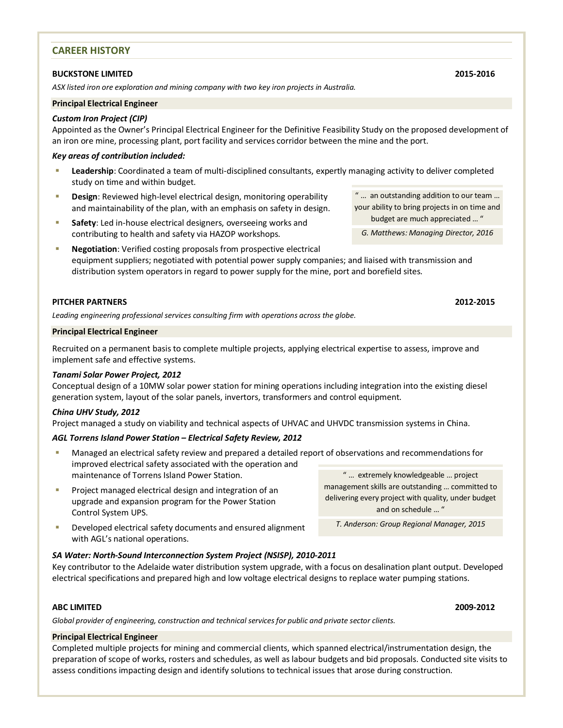## **CAREER HISTORY**

#### **BUCKSTONE LIMITED 2015-2016**

*ASX listed iron ore exploration and mining company with two key iron projects in Australia.* 

## **Principal Electrical Engineer**

### *Custom Iron Project (CIP)*

Appointed as the Owner's Principal Electrical Engineer for the Definitive Feasibility Study on the proposed development of an iron ore mine, processing plant, port facility and services corridor between the mine and the port.

#### *Key areas of contribution included:*

- § **Leadership**: Coordinated a team of multi-disciplined consultants, expertly managing activity to deliver completed study on time and within budget.
- **Design**: Reviewed high-level electrical design, monitoring operability and maintainability of the plan, with an emphasis on safety in design.
- **Safety:** Led in-house electrical designers, overseeing works and contributing to health and safety via HAZOP workshops.
- **EXECTE:** Negotiation: Verified costing proposals from prospective electrical equipment suppliers; negotiated with potential power supply companies; and liaised with transmission and distribution system operators in regard to power supply for the mine, port and borefield sites.

### **PITCHER PARTNERS 2012-2015**

*Leading engineering professional services consulting firm with operations across the globe.*

#### **Principal Electrical Engineer**

Recruited on a permanent basis to complete multiple projects, applying electrical expertise to assess, improve and implement safe and effective systems.

### *Tanami Solar Power Project, 2012*

Conceptual design of a 10MW solar power station for mining operations including integration into the existing diesel generation system, layout of the solar panels, invertors, transformers and control equipment.

#### *China UHV Study, 2012*

Project managed a study on viability and technical aspects of UHVAC and UHVDC transmission systems in China.

### *AGL Torrens Island Power Station – Electrical Safety Review, 2012*

- Managed an electrical safety review and prepared a detailed report of observations and recommendations for improved electrical safety associated with the operation and maintenance of Torrens Island Power Station. " … extremely knowledgeable … project
- Project managed electrical design and integration of an upgrade and expansion program for the Power Station Control System UPS.

management skills are outstanding … committed to delivering every project with quality, under budget and on schedule … "

*T. Anderson: Group Regional Manager, 2015*

Developed electrical safety documents and ensured alignment with AGL's national operations.

### *SA Water: North-Sound Interconnection System Project (NSISP), 2010-2011*

Key contributor to the Adelaide water distribution system upgrade, with a focus on desalination plant output. Developed electrical specifications and prepared high and low voltage electrical designs to replace water pumping stations.

### **ABC LIMITED 2009-2012**

*Global provider of engineering, construction and technical services for public and private sector clients.* 

#### **Principal Electrical Engineer**

Completed multiple projects for mining and commercial clients, which spanned electrical/instrumentation design, the preparation of scope of works, rosters and schedules, as well as labour budgets and bid proposals. Conducted site visits to assess conditions impacting design and identify solutions to technical issues that arose during construction.

" … an outstanding addition to our team … your ability to bring projects in on time and budget are much appreciated … "

*G. Matthews: Managing Director, 2016*